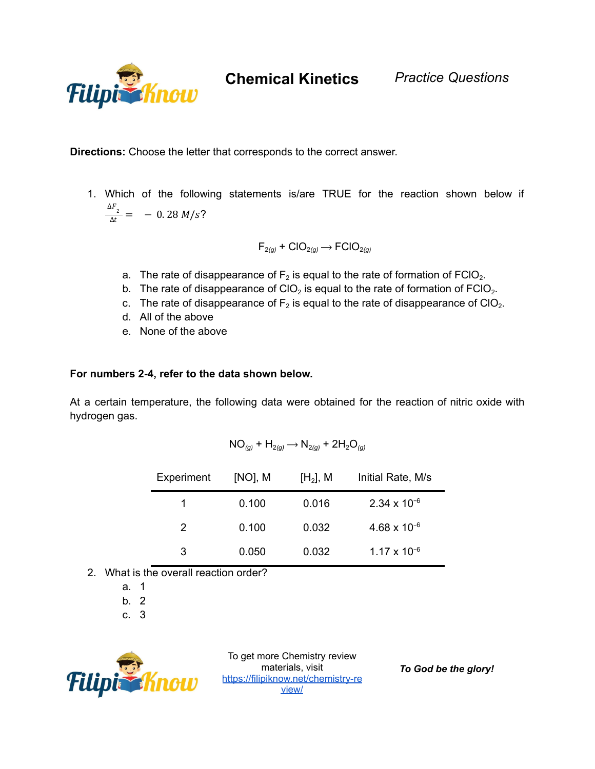

**Chemical Kinetics** *Practice Questions*

**Directions:** Choose the letter that corresponds to the correct answer.

1. Which of the following statements is/are TRUE for the reaction shown below if  $\frac{\Delta F_2}{\Delta t} = -0.28 M/s?$ 

$$
\mathsf{F}_{2(g)} + \mathsf{CIO}_{2(g)} \longrightarrow \mathsf{FCIO}_{2(g)}
$$

- a. The rate of disappearance of  $F_2$  is equal to the rate of formation of FCIO<sub>2</sub>.
- b. The rate of disappearance of CIO<sub>2</sub> is equal to the rate of formation of FCIO<sub>2</sub>.
- c. The rate of disappearance of  $F_2$  is equal to the rate of disappearance of ClO<sub>2</sub>.
- d. All of the above
- e. None of the above

## **For numbers 2-4, refer to the data shown below.**

At a certain temperature, the following data were obtained for the reaction of nitric oxide with hydrogen gas.

$$
NO_{(g)} + H_{2(g)} \longrightarrow N_{2(g)} + 2H_2O_{(g)}
$$

| Experiment | $[NO]$ , M | [H <sub>2</sub> ], M | Initial Rate, M/s     |
|------------|------------|----------------------|-----------------------|
| 1          | 0.100      | 0.016                | $2.34 \times 10^{-6}$ |
| 2          | 0.100      | 0.032                | $4.68 \times 10^{-6}$ |
| 3          | 0.050      | 0.032                | $1.17 \times 10^{-6}$ |

- 2. What is the overall reaction order?
	- a. 1
	- b. 2
	- c. 3



To get more Chemistry review materials, visit [https://filipiknow.net/chemistry-re](https://filipiknow.net/chemistry-review/) [view/](https://filipiknow.net/chemistry-review/)

*To God be the glory!*